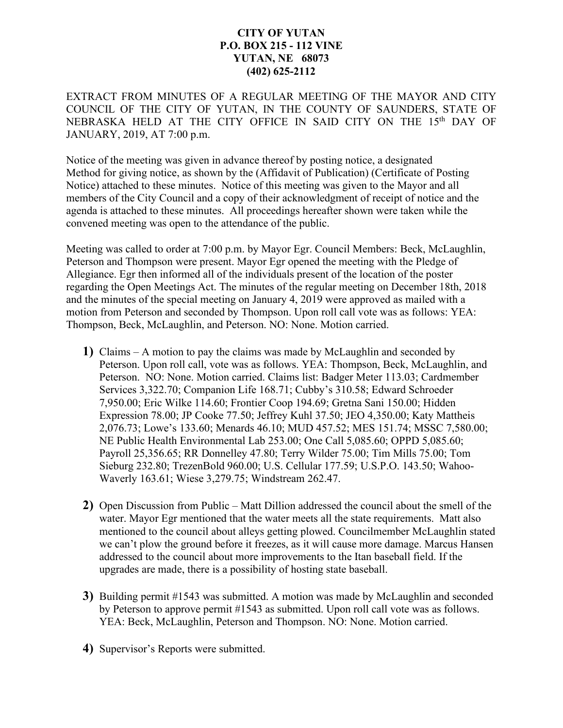## **CITY OF YUTAN P.O. BOX 215 - 112 VINE YUTAN, NE 68073 (402) 625-2112**

EXTRACT FROM MINUTES OF A REGULAR MEETING OF THE MAYOR AND CITY COUNCIL OF THE CITY OF YUTAN, IN THE COUNTY OF SAUNDERS, STATE OF NEBRASKA HELD AT THE CITY OFFICE IN SAID CITY ON THE 15<sup>th</sup> DAY OF JANUARY, 2019, AT 7:00 p.m.

Notice of the meeting was given in advance thereof by posting notice, a designated Method for giving notice, as shown by the (Affidavit of Publication) (Certificate of Posting Notice) attached to these minutes. Notice of this meeting was given to the Mayor and all members of the City Council and a copy of their acknowledgment of receipt of notice and the agenda is attached to these minutes. All proceedings hereafter shown were taken while the convened meeting was open to the attendance of the public.

Meeting was called to order at 7:00 p.m. by Mayor Egr. Council Members: Beck, McLaughlin, Peterson and Thompson were present. Mayor Egr opened the meeting with the Pledge of Allegiance. Egr then informed all of the individuals present of the location of the poster regarding the Open Meetings Act. The minutes of the regular meeting on December 18th, 2018 and the minutes of the special meeting on January 4, 2019 were approved as mailed with a motion from Peterson and seconded by Thompson. Upon roll call vote was as follows: YEA: Thompson, Beck, McLaughlin, and Peterson. NO: None. Motion carried.

- **1)** Claims A motion to pay the claims was made by McLaughlin and seconded by Peterson. Upon roll call, vote was as follows. YEA: Thompson, Beck, McLaughlin, and Peterson. NO: None. Motion carried. Claims list: Badger Meter 113.03; Cardmember Services 3,322.70; Companion Life 168.71; Cubby's 310.58; Edward Schroeder 7,950.00; Eric Wilke 114.60; Frontier Coop 194.69; Gretna Sani 150.00; Hidden Expression 78.00; JP Cooke 77.50; Jeffrey Kuhl 37.50; JEO 4,350.00; Katy Mattheis 2,076.73; Lowe's 133.60; Menards 46.10; MUD 457.52; MES 151.74; MSSC 7,580.00; NE Public Health Environmental Lab 253.00; One Call 5,085.60; OPPD 5,085.60; Payroll 25,356.65; RR Donnelley 47.80; Terry Wilder 75.00; Tim Mills 75.00; Tom Sieburg 232.80; TrezenBold 960.00; U.S. Cellular 177.59; U.S.P.O. 143.50; Wahoo-Waverly 163.61; Wiese 3,279.75; Windstream 262.47.
- **2)** Open Discussion from Public Matt Dillion addressed the council about the smell of the water. Mayor Egr mentioned that the water meets all the state requirements. Matt also mentioned to the council about alleys getting plowed. Councilmember McLaughlin stated we can't plow the ground before it freezes, as it will cause more damage. Marcus Hansen addressed to the council about more improvements to the Itan baseball field. If the upgrades are made, there is a possibility of hosting state baseball.
- **3)** Building permit #1543 was submitted. A motion was made by McLaughlin and seconded by Peterson to approve permit #1543 as submitted. Upon roll call vote was as follows. YEA: Beck, McLaughlin, Peterson and Thompson. NO: None. Motion carried.
- **4)** Supervisor's Reports were submitted.